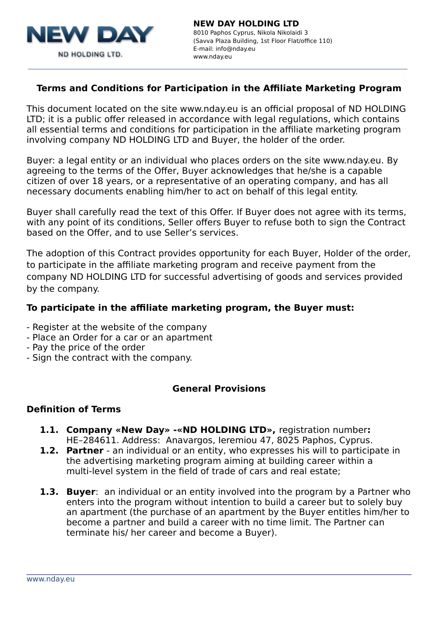

# **Terms and Conditions for Participation in the Affiliate Marketing Program**

This document located on the site www.nday.eu is an official proposal of ND HOLDING LTD; it is a public offer released in accordance with legal regulations, which contains all essential terms and conditions for participation in the affiliate marketing program involving company ND HOLDING LTD and Buyer, the holder of the order.

Buyer: a legal entity or an individual who places orders on the site www.nday.eu. By agreeing to the terms of the Offer, Buyer acknowledges that he/she is a capable citizen of over 18 years, or a representative of an operating company, and has all necessary documents enabling him/her to act on behalf of this legal entity.

Buyer shall carefully read the text of this Offer. If Buyer does not agree with its terms, with any point of its conditions, Seller offers Buyer to refuse both to sign the Contract based on the Offer, and to use Seller's services.

The adoption of this Contract provides opportunity for each Buyer, Holder of the order, to participate in the affiliate marketing program and receive payment from the company ND HOLDING LTD for successful advertising of goods and services provided by the company.

#### **To participate in the affiliate marketing program, the Buyer must:**

- Register at the website of the company
- Place an Order for a car or an apartment
- Pay the price of the order
- Sign the contract with the company.

#### **General Provisions**

#### **Definition of Terms**

- **1.1. Company «New Day» -«ND HOLDING LTD»,** registration number**:**  НЕ–284611. Address: Anavargos, Ieremiou 47, 8025 Paphos, Cyprus.
- **1.2. Partner** an individual or an entity, who expresses his will to participate in the advertising marketing program aiming at building career within a multi-level system in the field of trade of cars and real estate;
- **1.3. Buyer**: an individual or an entity involved into the program by a Partner who enters into the program without intention to build a career but to solely buy an apartment (the purchase of an apartment by the Buyer entitles him/her to become a partner and build a career with no time limit. The Partner can terminate his/ her career and become a Buyer).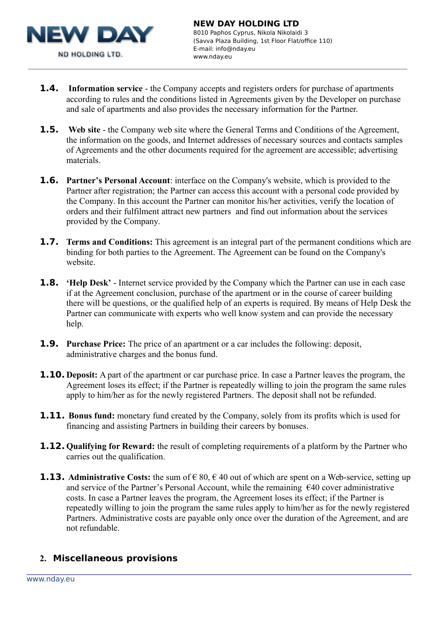

- **1.4. Information service** the Company accepts and registers orders for purchase of apartments according to rules and the conditions listed in Agreements given by the Developer on purchase and sale of apartments and also provides the necessary information for the Partner.
- **1.5.** Web site the Company web site where the General Terms and Conditions of the Agreement, the information on the goods, and Internet addresses of necessary sources and contacts samples of Agreements and the other documents required for the agreement are accessible; advertising materials.
- **1.6. Partner's Personal Account**: interface on the Company's website, which is provided to the Partner after registration; the Partner can access this account with a personal code provided by the Company. In this account the Partner can monitor his/her activities, verify the location of orders and their fulfilment attract new partners and find out information about the services provided by the Company.
- **1.7. Terms and Conditions:** This agreement is an integral part of the permanent conditions which are binding for both parties to the Agreement. The Agreement can be found on the Company's website.
- **1.8. 'Help Desk'** Internet service provided by the Company which the Partner can use in each case if at the Agreement conclusion, purchase of the apartment or in the course of career building there will be questions, or the qualified help of an experts is required. By means of Help Desk the Partner can communicate with experts who well know system and can provide the necessary help.
- **1.9. Purchase Price:** The price of an apartment or a car includes the following: deposit, administrative charges and the bonus fund.
- **1.10. Deposit:** A part of the apartment or car purchase price. In case a Partner leaves the program, the Agreement loses its effect; if the Partner is repeatedly willing to join the program the same rules apply to him/her as for the newly registered Partners. The deposit shall not be refunded.
- **1.11.** Bonus fund: monetary fund created by the Company, solely from its profits which is used for financing and assisting Partners in building their careers by bonuses.
- **1.12. Qualifying for Reward:** the result of completing requirements of a platform by the Partner who carries out the qualification.
- **1.13.** Administrative Costs: the sum of  $\in$  80,  $\in$  40 out of which are spent on a Web-service, setting up and service of the Partner's Personal Account, while the remaining €40 cover administrative costs. In case a Partner leaves the program, the Agreement loses its effect; if the Partner is repeatedly willing to join the program the same rules apply to him/her as for the newly registered Partners. Administrative costs are payable only once over the duration of the Agreement, and are not refundable.

#### **2. Miscellaneous provisions**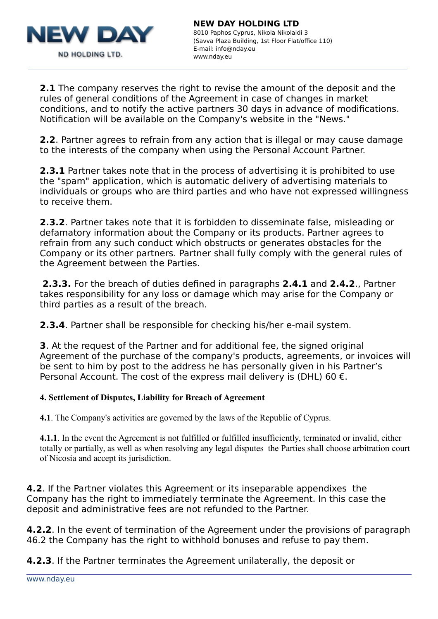

**2.1** The company reserves the right to revise the amount of the deposit and the rules of general conditions of the Agreement in case of changes in market conditions, and to notify the active partners 30 days in advance of modifications. Notification will be available on the Company's website in the "News."

**2.2**. Partner agrees to refrain from any action that is illegal or may cause damage to the interests of the company when using the Personal Account Partner.

**2.3.1** Partner takes note that in the process of advertising it is prohibited to use the "spam" application, which is automatic delivery of advertising materials to individuals or groups who are third parties and who have not expressed willingness to receive them.

**2.3.2**. Partner takes note that it is forbidden to disseminate false, misleading or defamatory information about the Company or its products. Partner agrees to refrain from any such conduct which obstructs or generates obstacles for the Company or its other partners. Partner shall fully comply with the general rules of the Agreement between the Parties.

**2.3.3.** For the breach of duties defined in paragraphs **2.4.1** and **2.4.2**., Partner takes responsibility for any loss or damage which may arise for the Company or third parties as a result of the breach.

**2.3.4**. Partner shall be responsible for checking his/her e-mail system.

**3**. At the request of the Partner and for additional fee, the signed original Agreement of the purchase of the company's products, agreements, or invoices will be sent to him by post to the address he has personally given in his Partner's Personal Account. The cost of the express mail delivery is (DHL) 60  $\epsilon$ .

#### **4. Settlement of Disputes, Liability for Breach of Agreement**

**4.1**. The Company's activities are governed by the laws of the Republic of Cyprus.

**4.1.1**. In the event the Agreement is not fulfilled or fulfilled insufficiently, terminated or invalid, either totally or partially, as well as when resolving any legal disputes the Parties shall choose arbitration court of Nicosia and accept its jurisdiction.

**4.2**. If the Partner violates this Agreement or its inseparable appendixes the Company has the right to immediately terminate the Agreement. In this case the deposit and administrative fees are not refunded to the Partner.

**4.2.2**. In the event of termination of the Agreement under the provisions of paragraph 46.2 the Company has the right to withhold bonuses and refuse to pay them.

**4.2.3**. If the Partner terminates the Agreement unilaterally, the deposit or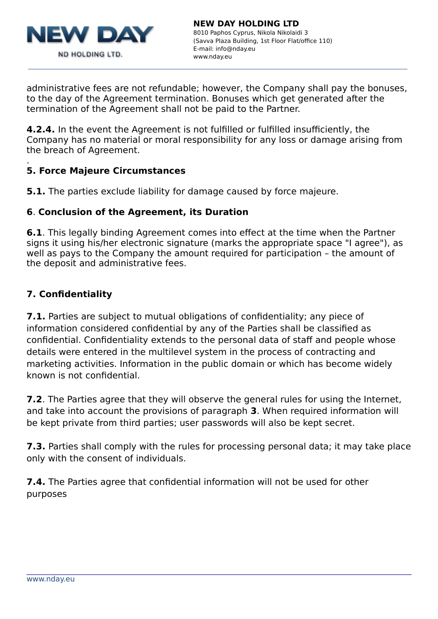

administrative fees are not refundable; however, the Company shall pay the bonuses, to the day of the Agreement termination. Bonuses which get generated after the termination of the Agreement shall not be paid to the Partner.

**4.2.4.** In the event the Agreement is not fulfilled or fulfilled insufficiently, the Company has no material or moral responsibility for any loss or damage arising from the breach of Agreement.

#### . **5. Force Majeure Circumstances**

**5.1.** The parties exclude liability for damage caused by force majeure.

# **6**. **Conclusion of the Agreement, its Duration**

**6.1**. This legally binding Agreement comes into effect at the time when the Partner signs it using his/her electronic signature (marks the appropriate space "I agree"), as well as pays to the Company the amount required for participation – the amount of the deposit and administrative fees.

# **7. Confidentiality**

**7.1.** Parties are subject to mutual obligations of confidentiality; any piece of information considered confidential by any of the Parties shall be classified as confidential. Confidentiality extends to the personal data of staff and people whose details were entered in the multilevel system in the process of contracting and marketing activities. Information in the public domain or which has become widely known is not confidential.

**7.2**. The Parties agree that they will observe the general rules for using the Internet, and take into account the provisions of paragraph **3**. When required information will be kept private from third parties; user passwords will also be kept secret.

**7.3.** Parties shall comply with the rules for processing personal data; it may take place only with the consent of individuals.

**7.4.** The Parties agree that confidential information will not be used for other purposes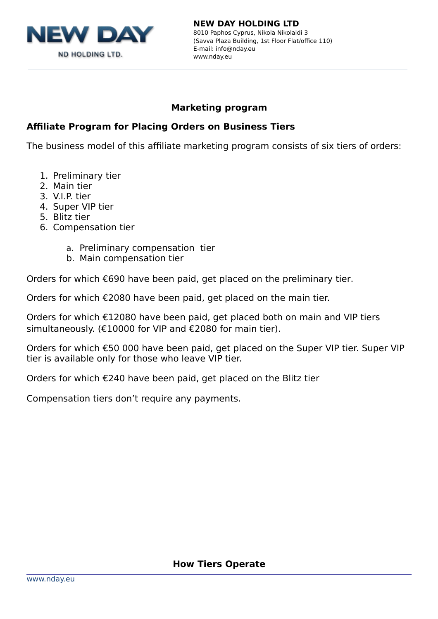

#### **NEW DAY HOLDING LTD** 8010 Paphos Cyprus, Nikola Nikolaidi 3 (Savva Plaza Building, 1st Floor Flat/office 110) E-mail: info@nday.eu www.nday.eu

# **Marketing program**

# **Affiliate Program for Placing Orders on Business Tiers**

The business model of this affiliate marketing program consists of six tiers of orders:

- 1. Preliminary tier
- 2. Main tier
- 3. V.I.P. tier
- 4. Super VIP tier
- 5. Blitz tier
- 6. Compensation tier
	- a. Preliminary compensation tier
	- b. Main compensation tier

Orders for which €690 have been paid, get placed on the preliminary tier.

Orders for which €2080 have been paid, get placed on the main tier.

Orders for which €12080 have been paid, get placed both on main and VIP tiers simultaneously. (€10000 for VIP and €2080 for main tier).

Orders for which €50 000 have been paid, get placed on the Super VIP tier. Super VIP tier is available only for those who leave VIP tier.

Orders for which €240 have been paid, get placed on the Blitz tier

Compensation tiers don't require any payments.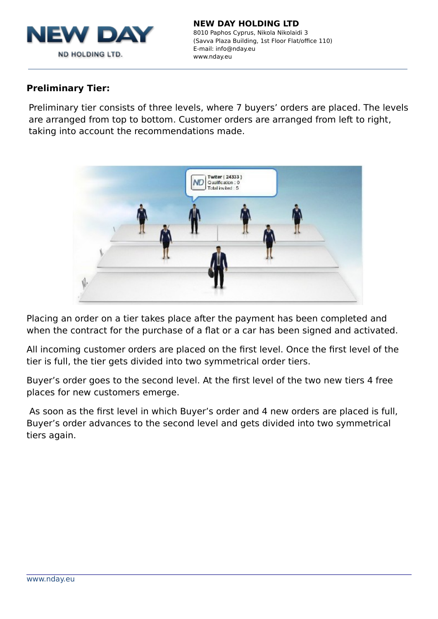

#### **Preliminary Tier:**

Preliminary tier consists of three levels, where 7 buyers' orders are placed. The levels are arranged from top to bottom. Customer orders are arranged from left to right, taking into account the recommendations made.



Placing an order on a tier takes place after the payment has been completed and when the contract for the purchase of a flat or a car has been signed and activated.

All incoming customer orders are placed on the first level. Once the first level of the tier is full, the tier gets divided into two symmetrical order tiers.

Buyer's order goes to the second level. At the first level of the two new tiers 4 free places for new customers emerge.

As soon as the first level in which Buyer's order and 4 new orders are placed is full, Buyer's order advances to the second level and gets divided into two symmetrical tiers again.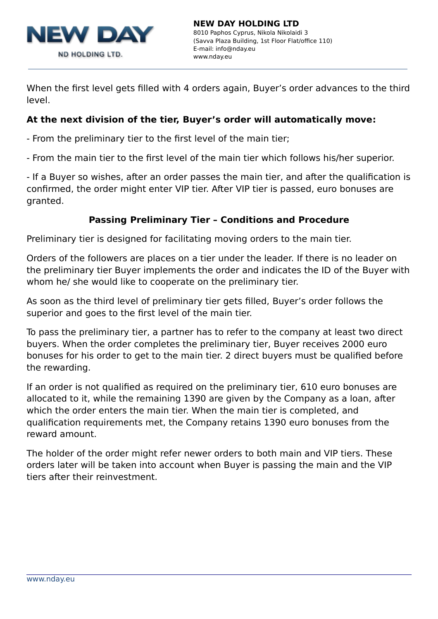

When the first level gets filled with 4 orders again, Buyer's order advances to the third level.

# **At the next division of the tier, Buyer's order will automatically move:**

- From the preliminary tier to the first level of the main tier;

- From the main tier to the first level of the main tier which follows his/her superior.

- If a Buyer so wishes, after an order passes the main tier, and after the qualification is confirmed, the order might enter VIP tier. After VIP tier is passed, euro bonuses are granted.

# **Passing Preliminary Tier – Conditions and Procedure**

Preliminary tier is designed for facilitating moving orders to the main tier.

Orders of the followers are places on a tier under the leader. If there is no leader on the preliminary tier Buyer implements the order and indicates the ID of the Buyer with whom he/ she would like to cooperate on the preliminary tier.

As soon as the third level of preliminary tier gets filled, Buyer's order follows the superior and goes to the first level of the main tier.

To pass the preliminary tier, a partner has to refer to the company at least two direct buyers. When the order completes the preliminary tier, Buyer receives 2000 euro bonuses for his order to get to the main tier. 2 direct buyers must be qualified before the rewarding.

If an order is not qualified as required on the preliminary tier, 610 euro bonuses are allocated to it, while the remaining 1390 are given by the Company as a loan, after which the order enters the main tier. When the main tier is completed, and qualification requirements met, the Company retains 1390 euro bonuses from the reward amount.

The holder of the order might refer newer orders to both main and VIP tiers. These orders later will be taken into account when Buyer is passing the main and the VIP tiers after their reinvestment.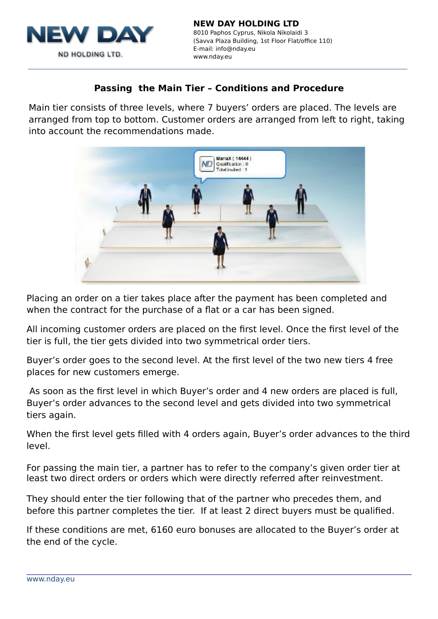

# **Passing the Main Tier – Conditions and Procedure**

Main tier consists of three levels, where 7 buyers' orders are placed. The levels are arranged from top to bottom. Customer orders are arranged from left to right, taking into account the recommendations made.



Placing an order on a tier takes place after the payment has been completed and when the contract for the purchase of a flat or a car has been signed.

All incoming customer orders are placed on the first level. Once the first level of the tier is full, the tier gets divided into two symmetrical order tiers.

Buyer's order goes to the second level. At the first level of the two new tiers 4 free places for new customers emerge.

As soon as the first level in which Buyer's order and 4 new orders are placed is full, Buyer's order advances to the second level and gets divided into two symmetrical tiers again.

When the first level gets filled with 4 orders again, Buyer's order advances to the third level.

For passing the main tier, a partner has to refer to the company's given order tier at least two direct orders or orders which were directly referred after reinvestment.

They should enter the tier following that of the partner who precedes them, and before this partner completes the tier. If at least 2 direct buyers must be qualified.

If these conditions are met, 6160 euro bonuses are allocated to the Buyer's order at the end of the cycle.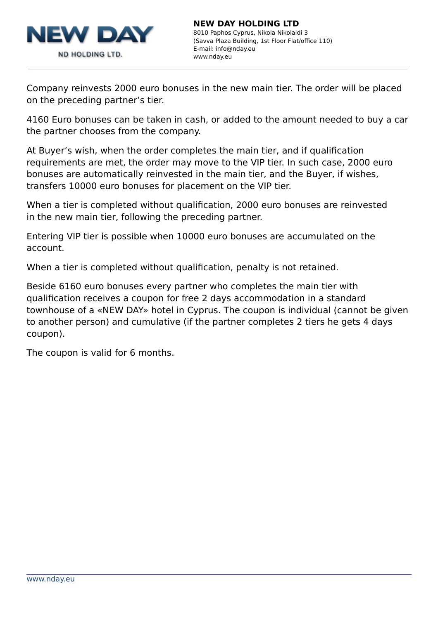

Company reinvests 2000 euro bonuses in the new main tier. The order will be placed on the preceding partner's tier.

4160 Euro bonuses can be taken in cash, or added to the amount needed to buy a car the partner chooses from the company.

At Buyer's wish, when the order completes the main tier, and if qualification requirements are met, the order may move to the VIP tier. In such case, 2000 euro bonuses are automatically reinvested in the main tier, and the Buyer, if wishes, transfers 10000 euro bonuses for placement on the VIP tier.

When a tier is completed without qualification, 2000 euro bonuses are reinvested in the new main tier, following the preceding partner.

Entering VIP tier is possible when 10000 euro bonuses are accumulated on the account.

When a tier is completed without qualification, penalty is not retained.

Beside 6160 euro bonuses every partner who completes the main tier with qualification receives a coupon for free 2 days accommodation in a standard townhouse of a «NEW DAY» hotel in Cyprus. The coupon is individual (cannot be given to another person) and cumulative (if the partner completes 2 tiers he gets 4 days coupon).

The coupon is valid for 6 months.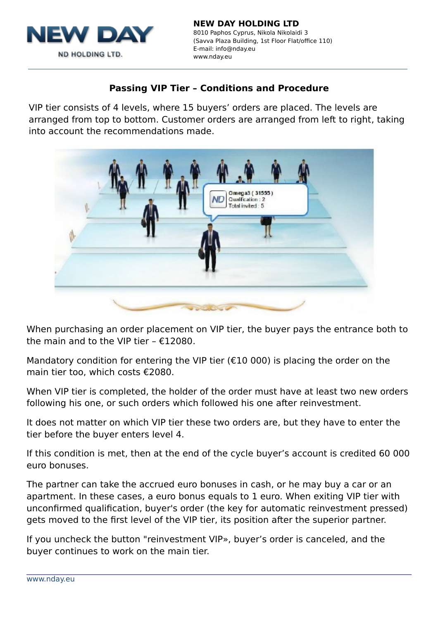

# **Passing VIP Tier – Conditions and Procedure**

VIP tier consists of 4 levels, where 15 buyers' orders are placed. The levels are arranged from top to bottom. Customer orders are arranged from left to right, taking into account the recommendations made.



When purchasing an order placement on VIP tier, the buyer pays the entrance both to the main and to the VIP tier –  $£12080$ .

Mandatory condition for entering the VIP tier ( $E10000$ ) is placing the order on the main tier too, which costs €2080.

When VIP tier is completed, the holder of the order must have at least two new orders following his one, or such orders which followed his one after reinvestment.

It does not matter on which VIP tier these two orders are, but they have to enter the tier before the buyer enters level 4.

If this condition is met, then at the end of the cycle buyer's account is credited 60 000 euro bonuses.

The partner can take the accrued euro bonuses in cash, or he may buy a car or an apartment. In these cases, a euro bonus equals to 1 euro. When exiting VIP tier with unconfirmed qualification, buyer's order (the key for automatic reinvestment pressed) gets moved to the first level of the VIP tier, its position after the superior partner.

If you uncheck the button "reinvestment VIP», buyer's order is canceled, and the buyer continues to work on the main tier.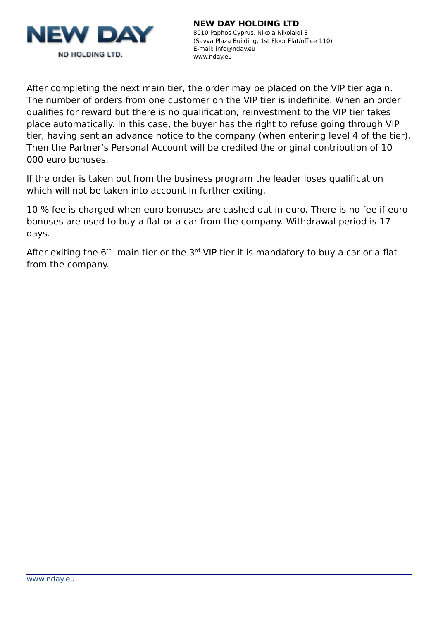

After completing the next main tier, the order may be placed on the VIP tier again. The number of orders from one customer on the VIP tier is indefinite. When an order qualifies for reward but there is no qualification, reinvestment to the VIP tier takes place automatically. In this case, the buyer has the right to refuse going through VIP tier, having sent an advance notice to the company (when entering level 4 of the tier). Then the Partner's Personal Account will be credited the original contribution of 10 000 euro bonuses.

If the order is taken out from the business program the leader loses qualification which will not be taken into account in further exiting.

10 % fee is charged when euro bonuses are cashed out in euro. There is no fee if euro bonuses are used to buy a flat or a car from the company. Withdrawal period is 17 days.

After exiting the  $6<sup>th</sup>$  main tier or the  $3<sup>rd</sup>$  VIP tier it is mandatory to buy a car or a flat from the company.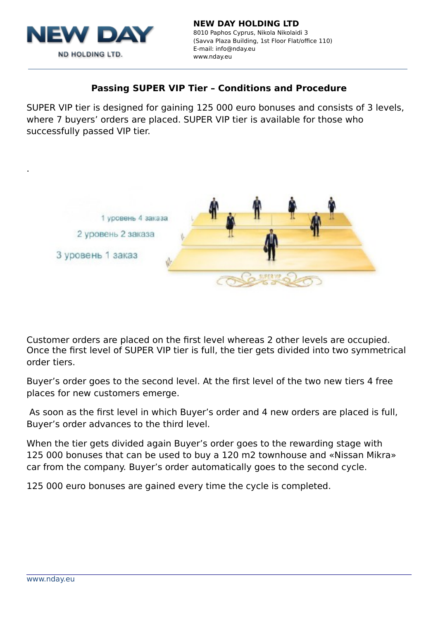

.

# **Passing SUPER VIP Tier – Conditions and Procedure**

SUPER VIP tier is designed for gaining 125 000 euro bonuses and consists of 3 levels, where 7 buyers' orders are placed. SUPER VIP tier is available for those who successfully passed VIP tier.



Customer orders are placed on the first level whereas 2 other levels are occupied. Once the first level of SUPER VIP tier is full, the tier gets divided into two symmetrical order tiers.

Buyer's order goes to the second level. At the first level of the two new tiers 4 free places for new customers emerge.

As soon as the first level in which Buyer's order and 4 new orders are placed is full, Buyer's order advances to the third level.

When the tier gets divided again Buyer's order goes to the rewarding stage with 125 000 bonuses that can be used to buy a 120 m2 townhouse and «Nissan Mikra» сar from the company. Buyer's order automatically goes to the second cycle.

125 000 euro bonuses are gained every time the cycle is completed.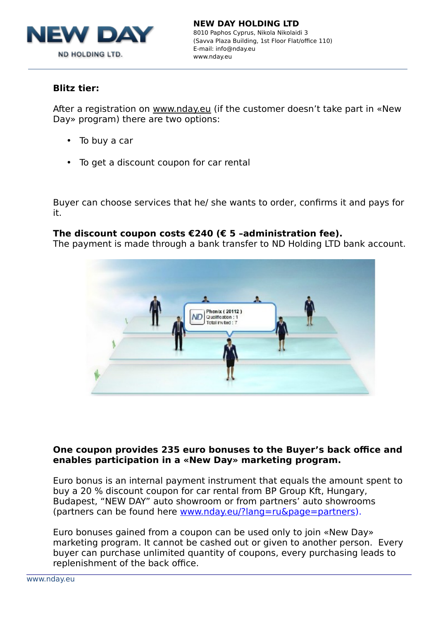

#### **Blitz tier:**

After a registration on [www.nday.eu](http://www.nday.eu/) (if the customer doesn't take part in «New Day» program) there are two options:

- To buy a car
- To get a discount coupon for car rental

Buyer can choose services that he/ she wants to order, confirms it and pays for it.

#### **The discount coupon costs €240 (€ 5 –administration fee).**

The payment is made through a bank transfer to ND Holding LTD bank account.



#### **One coupon provides 235 euro bonuses to the Buyer's back office and enables participation in a «New Day» marketing program.**

Euro bonus is an internal payment instrument that equals the amount spent to buy a 20 % discount coupon for car rental from BP Group Kft, Hungary, Budapest, "NEW DAY" auto showroom or from partners' auto showrooms (partners can be found here [www.nday.eu/?lang=ru&page=partners\)](http://www.nday.eu/?lang=ru&page=partners).

Euro bonuses gained from a coupon can be used only to join «New Day» marketing program. It cannot be cashed out or given to another person. Every buyer can purchase unlimited quantity of coupons, every purchasing leads to replenishment of the back office.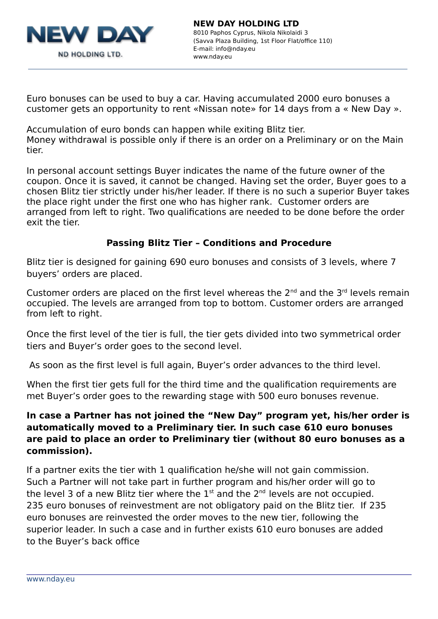

Euro bonuses can be used to buy a car. Having accumulated 2000 euro bonuses a customer gets an opportunity to rent «Nissan note» for 14 days from a « New Day ».

Accumulation of euro bonds can happen while exiting Blitz tier. Money withdrawal is possible only if there is an order on a Preliminary or on the Main tier.

In personal account settings Buyer indicates the name of the future owner of the coupon. Once it is saved, it cannot be changed. Having set the order, Buyer goes to a chosen Blitz tier strictly under his/her leader. If there is no such a superior Buyer takes the place right under the first one who has higher rank. Customer orders are arranged from left to right. Two qualifications are needed to be done before the order exit the tier.

# **Passing Blitz Tier – Conditions and Procedure**

Blitz tier is designed for gaining 690 euro bonuses and consists of 3 levels, where 7 buyers' orders are placed.

Customer orders are placed on the first level whereas the  $2^{nd}$  and the  $3^{rd}$  levels remain occupied. The levels are arranged from top to bottom. Customer orders are arranged from left to right.

Once the first level of the tier is full, the tier gets divided into two symmetrical order tiers and Buyer's order goes to the second level.

As soon as the first level is full again, Buyer's order advances to the third level.

When the first tier gets full for the third time and the qualification requirements are met Buyer's order goes to the rewarding stage with 500 euro bonuses revenue.

# **In case a Partner has not joined the "New Day" program yet, his/her order is automatically moved to a Preliminary tier. In such case 610 euro bonuses are paid to place an order to Preliminary tier (without 80 euro bonuses as a commission).**

If a partner exits the tier with 1 qualification he/she will not gain commission. Such a Partner will not take part in further program and his/her order will go to the level 3 of a new Blitz tier where the  $1<sup>st</sup>$  and the  $2<sup>nd</sup>$  levels are not occupied. 235 euro bonuses of reinvestment are not obligatory paid on the Blitz tier. If 235 euro bonuses are reinvested the order moves to the new tier, following the superior leader. In such a case and in further exists 610 euro bonuses are added to the Buyer's back office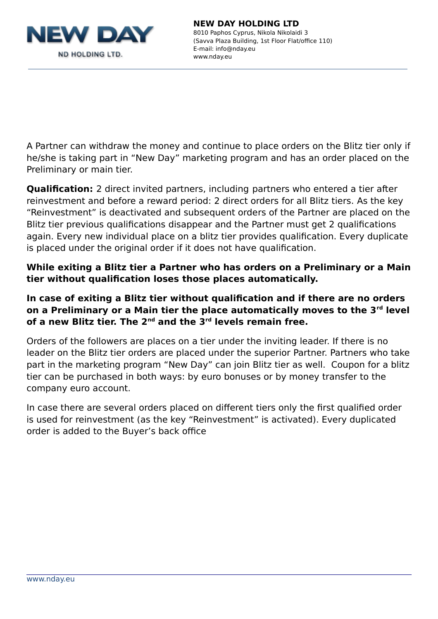

8010 Paphos Cyprus, Nikola Nikolaidi 3 (Savva Plaza Building, 1st Floor Flat/office 110) E-mail: info@nday.eu www.nday.eu

A Partner can withdraw the money and continue to place orders on the Blitz tier only if he/she is taking part in "New Day" marketing program and has an order placed on the Preliminary or main tier.

**Qualification:** 2 direct invited partners, including partners who entered a tier after reinvestment and before a reward period: 2 direct orders for all Blitz tiers. As the key "Reinvestment" is deactivated and subsequent orders of the Partner are placed on the Blitz tier previous qualifications disappear and the Partner must get 2 qualifications again. Every new individual place on a blitz tier provides qualification. Every duplicate is placed under the original order if it does not have qualification.

**While exiting a Blitz tier a Partner who has orders on a Preliminary or a Main tier without qualification loses those places automatically.** 

# **In case of exiting a Blitz tier without qualification and if there are no orders on a Preliminary or a Main tier the place automatically moves to the 3rd level of a new Blitz tier. The 2nd and the 3rd levels remain free.**

Orders of the followers are places on a tier under the inviting leader. If there is no leader on the Blitz tier orders are placed under the superior Partner. Partners who take part in the marketing program "New Day" can join Blitz tier as well. Coupon for a blitz tier can be purchased in both ways: by euro bonuses or by money transfer to the company euro account.

In case there are several orders placed on different tiers only the first qualified order is used for reinvestment (as the key "Reinvestment" is activated). Every duplicated order is added to the Buyer's back office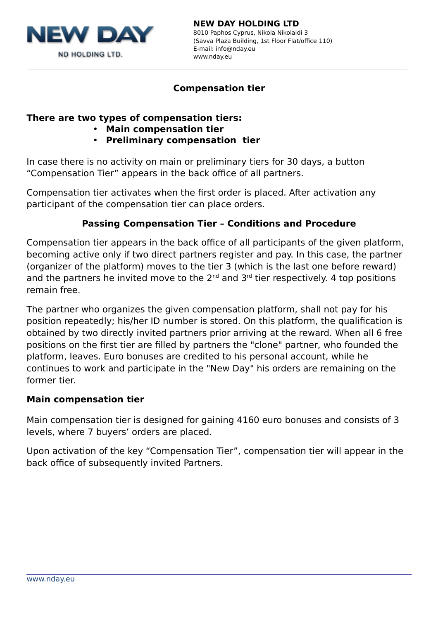

8010 Paphos Cyprus, Nikola Nikolaidi 3 (Savva Plaza Building, 1st Floor Flat/office 110) E-mail: info@nday.eu www.nday.eu

# **Compensation tier**

# **There are two types of compensation tiers:**

- **Main compensation tier**
- **Preliminary compensation tier**

In case there is no activity on main or preliminary tiers for 30 days, a button "Compensation Tier" appears in the back office of all partners.

Compensation tier activates when the first order is placed. After activation any participant of the compensation tier can place orders.

# **Passing Compensation Tier – Conditions and Procedure**

Compensation tier appears in the back office of all participants of the given platform, becoming active only if two direct partners register and pay. In this case, the partner (organizer of the platform) moves to the tier 3 (which is the last one before reward) and the partners he invited move to the  $2^{nd}$  and  $3^{rd}$  tier respectively. 4 top positions remain free.

The partner who organizes the given compensation platform, shall not pay for his position repeatedly; his/her ID number is stored. On this platform, the qualification is obtained by two directly invited partners prior arriving at the reward. When all 6 free positions on the first tier are filled by partners the "clone" partner, who founded the platform, leaves. Euro bonuses are credited to his personal account, while he continues to work and participate in the "New Day" his orders are remaining on the former tier.

#### **Main compensation tier**

Main compensation tier is designed for gaining 4160 euro bonuses and consists of 3 levels, where 7 buyers' orders are placed.

Upon activation of the key "Compensation Tier", compensation tier will appear in the back office of subsequently invited Partners.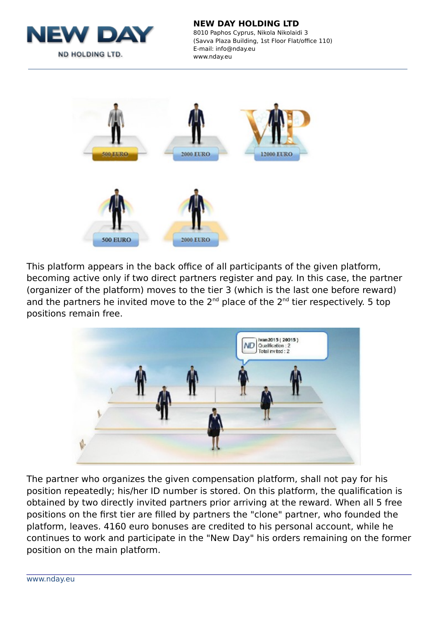

8010 Paphos Cyprus, Nikola Nikolaidi 3 (Savva Plaza Building, 1st Floor Flat/office 110) E-mail: info@nday.eu www.nday.eu



This platform appears in the back office of all participants of the given platform, becoming active only if two direct partners register and pay. In this case, the partner (organizer of the platform) moves to the tier 3 (which is the last one before reward) and the partners he invited move to the  $2^{nd}$  place of the  $2^{nd}$  tier respectively. 5 top positions remain free.



The partner who organizes the given compensation platform, shall not pay for his position repeatedly; his/her ID number is stored. On this platform, the qualification is obtained by two directly invited partners prior arriving at the reward. When all 5 free positions on the first tier are filled by partners the "clone" partner, who founded the platform, leaves. 4160 euro bonuses are credited to his personal account, while he continues to work and participate in the "New Day" his orders remaining on the former position on the main platform.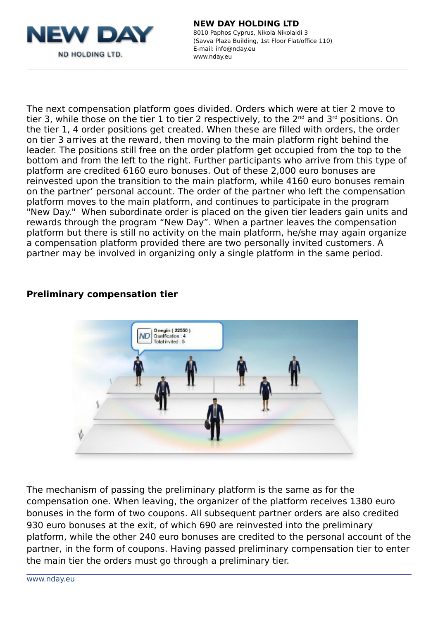

# **NEW DAY HOLDING LTD** 8010 Paphos Cyprus, Nikola Nikolaidi 3

(Savva Plaza Building, 1st Floor Flat/office 110) E-mail: info@nday.eu www.nday.eu

The next compensation platform goes divided. Orders which were at tier 2 move to tier 3, while those on the tier 1 to tier 2 respectively, to the  $2^{nd}$  and  $3^{rd}$  positions. On the tier 1, 4 order positions get created. When these are filled with orders, the order on tier 3 arrives at the reward, then moving to the main platform right behind the leader. The positions still free on the order platform get occupied from the top to the bottom and from the left to the right. Further participants who arrive from this type of platform are credited 6160 euro bonuses. Out of these 2,000 euro bonuses are reinvested upon the transition to the main platform, while 4160 euro bonuses remain on the partner' personal account. The order of the partner who left the compensation platform moves to the main platform, and continues to participate in the program "New Day." When subordinate order is placed on the given tier leaders gain units and rewards through the program "New Day". When a partner leaves the compensation platform but there is still no activity on the main platform, he/she may again organize a compensation platform provided there are two personally invited customers. A partner may be involved in organizing only a single platform in the same period.

#### **Preliminary compensation tier**



The mechanism of passing the preliminary platform is the same as for the compensation one. When leaving, the organizer of the platform receives 1380 euro bonuses in the form of two coupons. All subsequent partner orders are also credited 930 euro bonuses at the exit, of which 690 are reinvested into the preliminary platform, while the other 240 euro bonuses are credited to the personal account of the partner, in the form of coupons. Having passed preliminary compensation tier to enter the main tier the orders must go through a preliminary tier.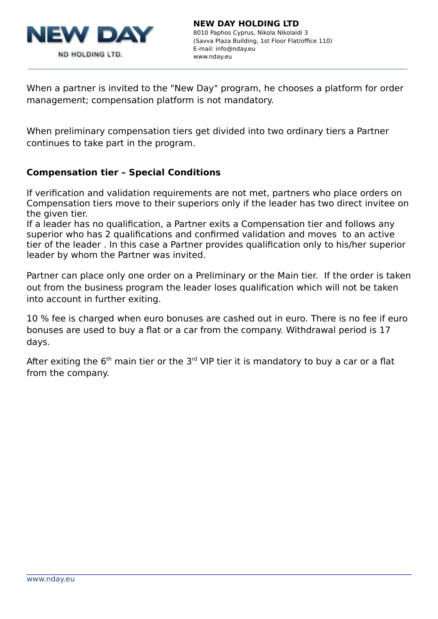

When a partner is invited to the "New Day" program, he chooses a platform for order management; compensation platform is not mandatory.

When preliminary compensation tiers get divided into two ordinary tiers a Partner continues to take part in the program.

# **Compensation tier – Special Conditions**

If verification and validation requirements are not met, partners who place orders on Compensation tiers move to their superiors only if the leader has two direct invitee on the given tier.

If a leader has no qualification, a Partner exits a Compensation tier and follows any superior who has 2 qualifications and confirmed validation and moves to an active tier of the leader . In this case a Partner provides qualification only to his/her superior leader by whom the Partner was invited.

Partner can place only one order on a Preliminary or the Main tier. If the order is taken out from the business program the leader loses qualification which will not be taken into account in further exiting.

10 % fee is charged when euro bonuses are cashed out in euro. There is no fee if euro bonuses are used to buy a flat or a car from the company. Withdrawal period is 17 days.

After exiting the  $6<sup>th</sup>$  main tier or the  $3<sup>rd</sup>$  VIP tier it is mandatory to buy a car or a flat from the company.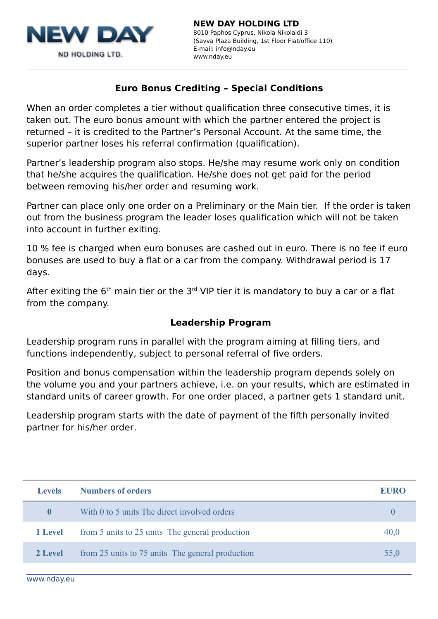

# **Euro Bonus Crediting – Special Conditions**

When an order completes a tier without qualification three consecutive times, it is taken out. The euro bonus amount with which the partner entered the project is returned – it is credited to the Partner's Personal Account. At the same time, the superior partner loses his referral confirmation (qualification).

Partner's leadership program also stops. He/she may resume work only on condition that he/she acquires the qualification. He/she does not get paid for the period between removing his/her order and resuming work.

Partner can place only one order on a Preliminary or the Main tier. If the order is taken out from the business program the leader loses qualification which will not be taken into account in further exiting.

10 % fee is charged when euro bonuses are cashed out in euro. There is no fee if euro bonuses are used to buy a flat or a car from the company. Withdrawal period is 17 days.

After exiting the  $6<sup>th</sup>$  main tier or the  $3<sup>rd</sup>$  VIP tier it is mandatory to buy a car or a flat from the company.

#### **Leadership Program**

Leadership program runs in parallel with the program aiming at filling tiers, and functions independently, subject to personal referral of five orders.

Position and bonus compensation within the leadership program depends solely on the volume you and your partners achieve, i.e. on your results, which are estimated in standard units of career growth. For one order placed, a partner gets 1 standard unit.

Leadership program starts with the date of payment of the fifth personally invited partner for his/her order.

| Levels       | <b>Numbers of orders</b>                         | EURO |
|--------------|--------------------------------------------------|------|
| $\mathbf{0}$ | With 0 to 5 units The direct involved orders     |      |
| 1 Level      | from 5 units to 25 units The general production  | 40,0 |
| 2 Level      | from 25 units to 75 units The general production | 55,0 |
|              |                                                  |      |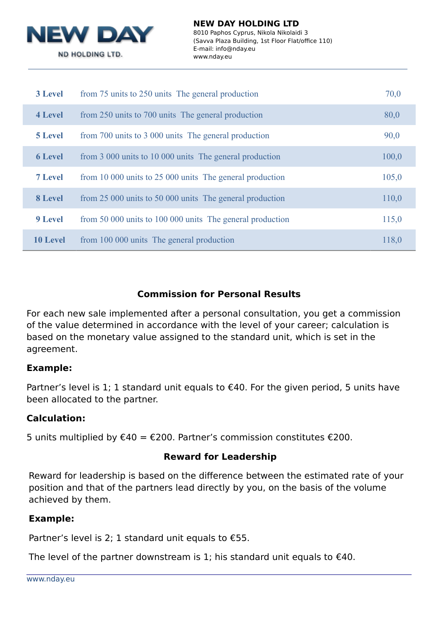

| <b>3 Level</b>  | from 75 units to 250 units. The general production        | 70,0  |
|-----------------|-----------------------------------------------------------|-------|
| 4 Level         | from 250 units to 700 units The general production        | 80,0  |
| <b>5 Level</b>  | from 700 units to 3 000 units The general production      | 90,0  |
| <b>6 Level</b>  | from 3 000 units to 10 000 units The general production   | 100,0 |
| <b>7 Level</b>  | from 10 000 units to 25 000 units The general production  | 105,0 |
| 8 Level         | from 25 000 units to 50 000 units The general production  | 110,0 |
| 9 Level         | from 50 000 units to 100 000 units The general production | 115,0 |
| <b>10 Level</b> | from 100 000 units The general production                 | 118,0 |

# **Commission for Personal Results**

For each new sale implemented after a personal consultation, you get a commission of the value determined in accordance with the level of your career; calculation is based on the monetary value assigned to the standard unit, which is set in the agreement.

#### **Example:**

Partner's level is 1; 1 standard unit equals to  $€40$ . For the given period, 5 units have been allocated to the partner.

#### **Calculation:**

5 units multiplied by €40 = €200. Partner's commission constitutes €200.

#### **Reward for Leadership**

Reward for leadership is based on the difference between the estimated rate of your position and that of the partners lead directly by you, on the basis of the volume achieved by them.

# **Example:**

Partner's level is 2; 1 standard unit equals to  $£55$ .

The level of the partner downstream is 1; his standard unit equals to  $€40$ .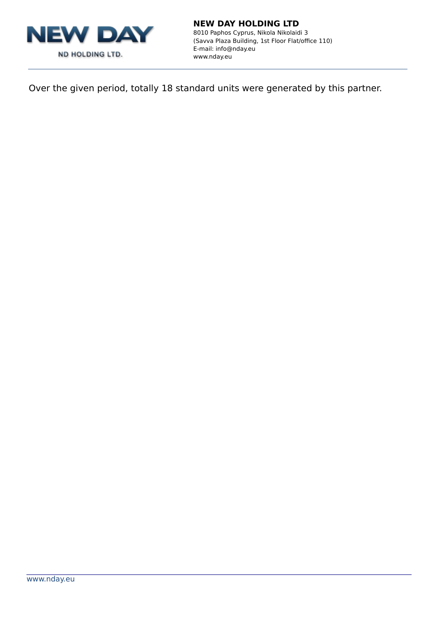

8010 Paphos Cyprus, Nikola Nikolaidi 3 (Savva Plaza Building, 1st Floor Flat/office 110) E-mail: info@nday.eu www.nday.eu

Over the given period, totally 18 standard units were generated by this partner.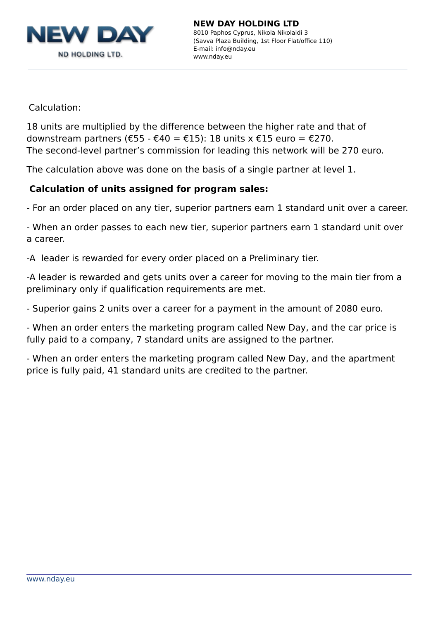

Calculation:

18 units are multiplied by the difference between the higher rate and that of downstream partners ( $\epsilon$ 55 -  $\epsilon$ 40 =  $\epsilon$ 15): 18 units x  $\epsilon$ 15 euro =  $\epsilon$ 270. The second-level partner's commission for leading this network will be 270 euro.

The calculation above was done on the basis of a single partner at level 1.

# **Calculation of units assigned for program sales:**

- For an order placed on any tier, superior partners earn 1 standard unit over a career.

- When an order passes to each new tier, superior partners earn 1 standard unit over a career.

-A leader is rewarded for every order placed on a Preliminary tier.

-A leader is rewarded and gets units over a career for moving to the main tier from a preliminary only if qualification requirements are met.

- Superior gains 2 units over a career for a payment in the amount of 2080 euro.

- When an order enters the marketing program called New Day, and the car price is fully paid to a company, 7 standard units are assigned to the partner.

- When an order enters the marketing program called New Day, and the apartment price is fully paid, 41 standard units are credited to the partner.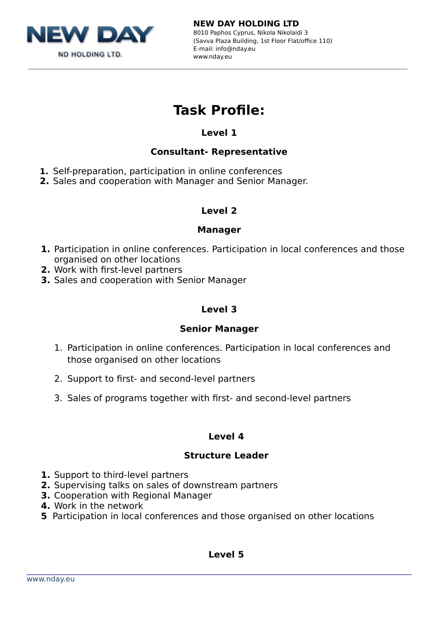

8010 Paphos Cyprus, Nikola Nikolaidi 3 (Savva Plaza Building, 1st Floor Flat/office 110) E-mail: info@nday.eu www.nday.eu

# **Task Profile:**

# **Level 1**

# **Consultant- Representative**

- **1.** Self-preparation, participation in online conferences
- **2.** Sales and cooperation with Manager and Senior Manager.

# **Level 2**

# **Manager**

- **1.** Participation in online conferences. Participation in local conferences and those organised on other locations
- **2.** Work with first-level partners
- **3.** Sales and cooperation with Senior Manager

# **Level 3**

# **Senior Manager**

- 1. Participation in online conferences. Participation in local conferences and those organised on other locations
- 2. Support to first- and second-level partners
- 3. Sales of programs together with first- and second-level partners

# **Level 4**

# **Structure Leader**

- **1.** Support to third-level partners
- **2.** Supervising talks on sales of downstream partners
- **3.** Cooperation with Regional Manager
- **4.** Work in the network
- **5** Participation in local conferences and those organised on other locations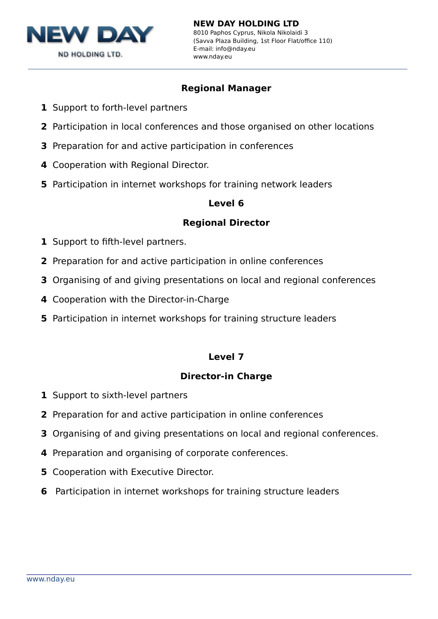

# **Regional Manager**

- **1** Support to forth-level partners
- **2** Participation in local conferences and those organised on other locations
- **3** Preparation for and active participation in conferences
- **4** Cooperation with Regional Director.
- **5** Participation in internet workshops for training network leaders

#### **Level 6**

# **Regional Director**

- **1** Support to fifth-level partners.
- **2** Preparation for and active participation in online conferences
- **3** Organising of and giving presentations on local and regional conferences
- **4** Cooperation with the Director-in-Charge
- **5** Participation in internet workshops for training structure leaders

# **Level 7**

#### **Director-in Charge**

- **1** Support to sixth-level partners
- **2** Preparation for and active participation in online conferences
- **3** Organising of and giving presentations on local and regional conferences.
- **4** Preparation and organising of corporate conferences.
- **5** Cooperation with Executive Director.
- **6** Participation in internet workshops for training structure leaders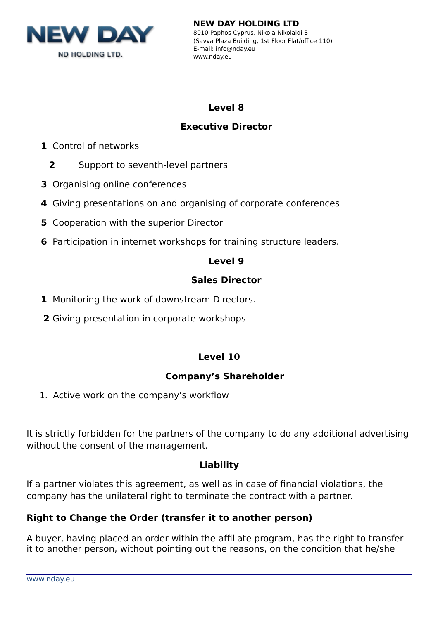

8010 Paphos Cyprus, Nikola Nikolaidi 3 (Savva Plaza Building, 1st Floor Flat/office 110) E-mail: info@nday.eu www.nday.eu

# **Level 8**

# **Executive Director**

- **1** Control of networks
	- **2** Support to seventh-level partners
- **3** Organising online conferences
- **4** Giving presentations on and organising of corporate conferences
- **5** Cooperation with the superior Director
- **6** Participation in internet workshops for training structure leaders.

# **Level 9**

# **Sales Director**

- **1** Monitoring the work of downstream Directors.
- **2** Giving presentation in corporate workshops

# **Level 10**

# **Company's Shareholder**

1. Active work on the company's workflow

It is strictly forbidden for the partners of the company to do any additional advertising without the consent of the management.

# **Liability**

If a partner violates this agreement, as well as in case of financial violations, the company has the unilateral right to terminate the contract with a partner.

# **Right to Change the Order (transfer it to another person)**

A buyer, having placed an order within the affiliate program, has the right to transfer it to another person, without pointing out the reasons, on the condition that he/she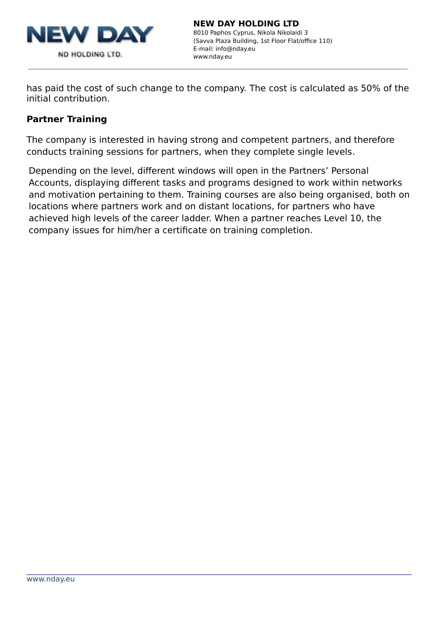

has paid the cost of such change to the company. The cost is calculated as 50% of the initial contribution.

# **Partner Training**

The company is interested in having strong and competent partners, and therefore conducts training sessions for partners, when they complete single levels.

Depending on the level, different windows will open in the Partners' Personal Accounts, displaying different tasks and programs designed to work within networks and motivation pertaining to them. Training courses are also being organised, both on locations where partners work and on distant locations, for partners who have achieved high levels of the career ladder. When a partner reaches Level 10, the company issues for him/her a certificate on training completion.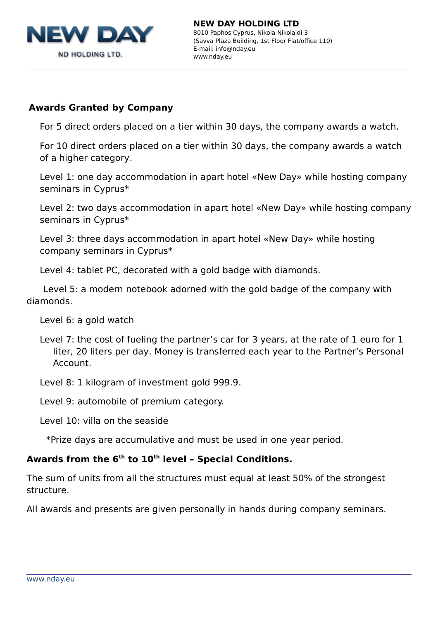

# **Awards Granted by Company**

For 5 direct orders placed on a tier within 30 days, the company awards a watch.

For 10 direct orders placed on a tier within 30 days, the company awards a watch of a higher category.

Level 1: one day accommodation in apart hotel «New Day» while hosting company seminars in Cyprus\*

Level 2: two days accommodation in apart hotel «New Day» while hosting company seminars in Cyprus\*

Level 3: three days accommodation in apart hotel «New Day» while hosting company seminars in Cyprus\*

Level 4: tablet PC, decorated with a gold badge with diamonds.

 Level 5: a modern notebook adorned with the gold badge of the company with diamonds.

Level 6: a gold watch

- Level 7: the cost of fueling the partner's car for 3 years, at the rate of 1 euro for 1 liter, 20 liters per day. Money is transferred each year to the Partner's Personal Account.
- Level 8: 1 kilogram of investment gold 999.9.

Level 9: automobile of premium category.

Level 10: villa on the seaside

\*Prize days are accumulative and must be used in one year period.

#### **Awards from the 6th to 10th level – Special Conditions.**

The sum of units from all the structures must equal at least 50% of the strongest structure.

All awards and presents are given personally in hands during company seminars.